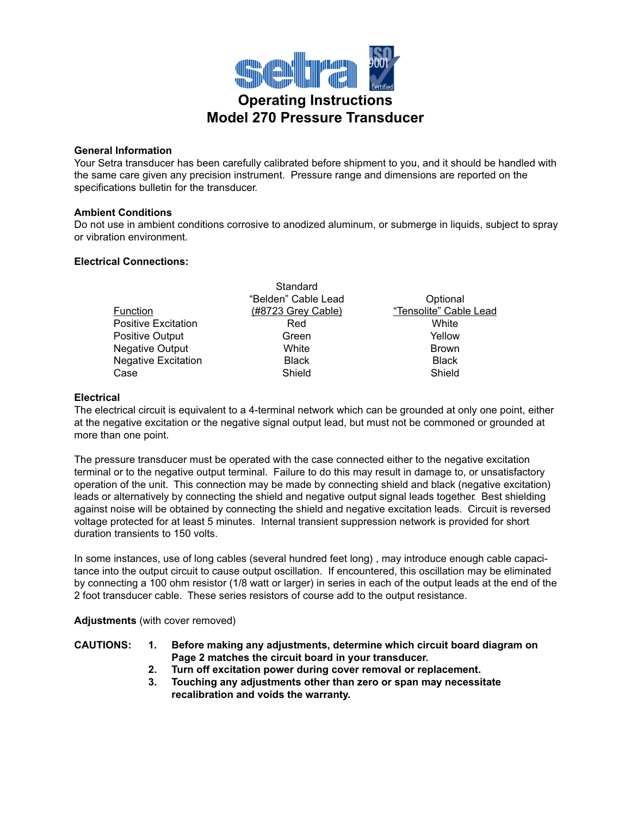

## **General Information**

Your Setra transducer has been carefully calibrated before shipment to you, and it should be handled with the same care given any precision instrument. Pressure range and dimensions are reported on the specifications bulletin for the transducer.

## **Ambient Conditions**

Do not use in ambient conditions corrosive to anodized aluminum, or submerge in liquids, subject to spray or vibration environment.

## **Electrical Connections:**

|                            | Standard            |                        |
|----------------------------|---------------------|------------------------|
|                            | "Belden" Cable Lead | Optional               |
| <b>Function</b>            | (#8723 Grey Cable)  | "Tensolite" Cable Lead |
| <b>Positive Excitation</b> | Red                 | White                  |
| <b>Positive Output</b>     | Green               | Yellow                 |
| <b>Negative Output</b>     | White               | <b>Brown</b>           |
| <b>Negative Excitation</b> | <b>Black</b>        | <b>Black</b>           |
| Case                       | Shield              | Shield                 |

## **Electrical**

The electrical circuit is equivalent to a 4-terminal network which can be grounded at only one point, either at the negative excitation or the negative signal output lead, but must not be commoned or grounded at more than one point.

The pressure transducer must be operated with the case connected either to the negative excitation terminal or to the negative output terminal. Failure to do this may result in damage to, or unsatisfactory operation of the unit. This connection may be made by connecting shield and black (negative excitation) leads or alternatively by connecting the shield and negative output signal leads together. Best shielding against noise will be obtained by connecting the shield and negative excitation leads. Circuit is reversed voltage protected for at least 5 minutes. Internal transient suppression network is provided for short duration transients to 150 volts.

In some instances, use of long cables (several hundred feet long) , may introduce enough cable capacitance into the output circuit to cause output oscillation. If encountered, this oscillation may be eliminated by connecting a 100 ohm resistor (1/8 watt or larger) in series in each of the output leads at the end of the 2 foot transducer cable. These series resistors of course add to the output resistance.

**Adjustments** (with cover removed)

| <b>CAUTIONS:</b> | Before making any adjustments, determine which circuit board diagram on |
|------------------|-------------------------------------------------------------------------|
|                  | Page 2 matches the circuit board in your transducer.                    |

- **2. Turn off excitation power during cover removal or replacement.**
- **3. Touching any adjustments other than zero or span may necessitate recalibration and voids the warranty.**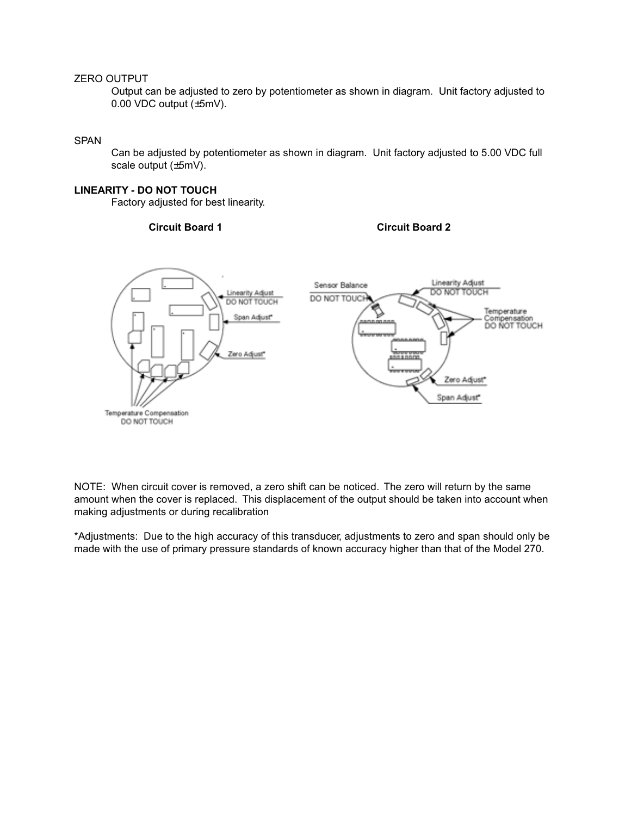### ZERO OUTPUT

Output can be adjusted to zero by potentiometer as shown in diagram. Unit factory adjusted to 0.00 VDC output (±5mV).

## SPAN

Can be adjusted by potentiometer as shown in diagram. Unit factory adjusted to 5.00 VDC full scale output (±5mV).

#### **LINEARITY - DO NOT TOUCH**

Factory adjusted for best linearity.

## **Circuit Board 1 Circuit Board 2**



NOTE: When circuit cover is removed, a zero shift can be noticed. The zero will return by the same amount when the cover is replaced. This displacement of the output should be taken into account when making adjustments or during recalibration

\*Adjustments: Due to the high accuracy of this transducer, adjustments to zero and span should only be made with the use of primary pressure standards of known accuracy higher than that of the Model 270.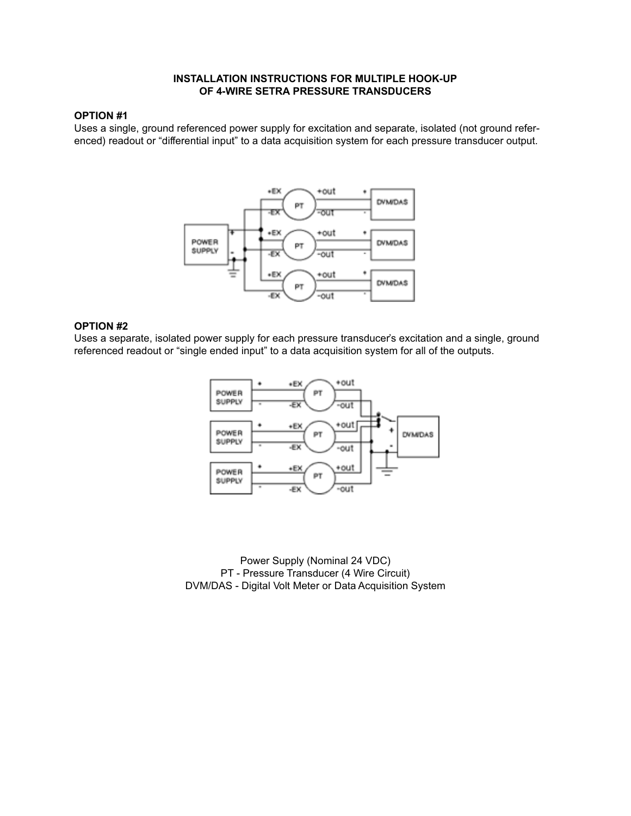#### **INSTALLATION INSTRUCTIONS FOR MULTIPLE HOOK-UP OF 4-WIRE SETRA PRESSURE TRANSDUCERS**

# **OPTION #1**

Uses a single, ground referenced power supply for excitation and separate, isolated (not ground referenced) readout or "differential input" to a data acquisition system for each pressure transducer output.



## **OPTION #2**

Uses a separate, isolated power supply for each pressure transducer's excitation and a single, ground referenced readout or "single ended input" to a data acquisition system for all of the outputs.



Power Supply (Nominal 24 VDC) PT - Pressure Transducer (4 Wire Circuit) DVM/DAS - Digital Volt Meter or Data Acquisition System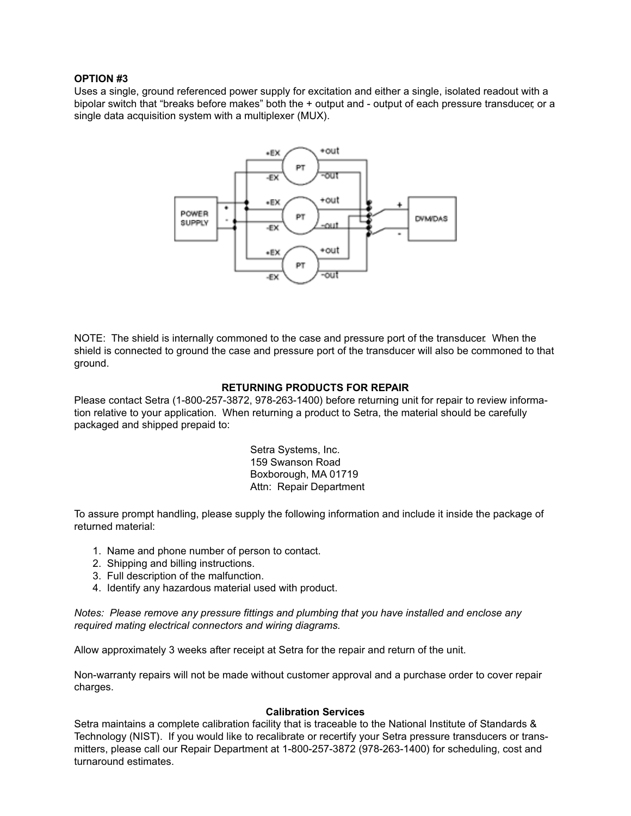## **OPTION #3**

Uses a single, ground referenced power supply for excitation and either a single, isolated readout with a bipolar switch that "breaks before makes" both the + output and - output of each pressure transducer, or a single data acquisition system with a multiplexer (MUX).



NOTE: The shield is internally commoned to the case and pressure port of the transducer. When the shield is connected to ground the case and pressure port of the transducer will also be commoned to that ground.

## **RETURNING PRODUCTS FOR REPAIR**

Please contact Setra (1-800-257-3872, 978-263-1400) before returning unit for repair to review information relative to your application. When returning a product to Setra, the material should be carefully packaged and shipped prepaid to:

> Setra Systems, Inc. 159 Swanson Road Boxborough, MA 01719 Attn: Repair Department

To assure prompt handling, please supply the following information and include it inside the package of returned material:

- 1. Name and phone number of person to contact.
- 2. Shipping and billing instructions.
- 3. Full description of the malfunction.
- 4. Identify any hazardous material used with product.

*Notes: Please remove any pressure fittings and plumbing that you have installed and enclose any required mating electrical connectors and wiring diagrams.*

Allow approximately 3 weeks after receipt at Setra for the repair and return of the unit.

Non-warranty repairs will not be made without customer approval and a purchase order to cover repair charges.

#### **Calibration Services**

Setra maintains a complete calibration facility that is traceable to the National Institute of Standards & Technology (NIST). If you would like to recalibrate or recertify your Setra pressure transducers or transmitters, please call our Repair Department at 1-800-257-3872 (978-263-1400) for scheduling, cost and turnaround estimates.